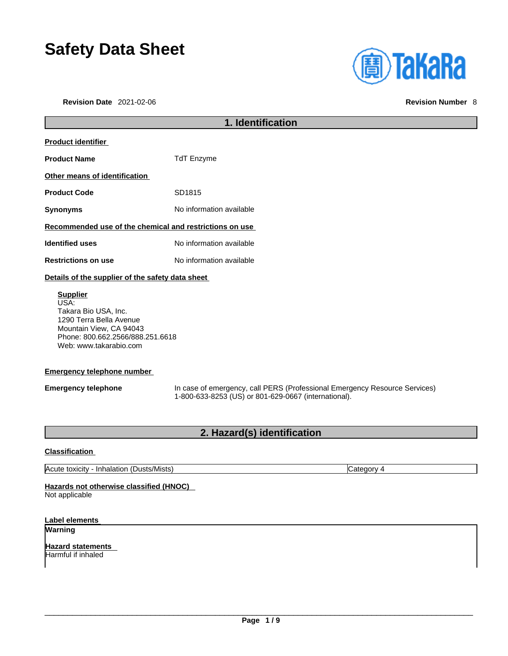# **Safety Data Sheet**

**Revision Date** 2021-02-06 **Revision Number** 8



## **1. Identification Product identifier Product Name** TdT Enzyme **Other means of identification** Product Code SD1815 **Synonyms** No information available **Recommended use of the chemical and restrictions on use Identified uses** No information available **Restrictions on use** No information available **Details of the supplier of the safety data sheet Supplier** USA: Takara Bio USA, Inc. 1290 Terra Bella Avenue Mountain View, CA 94043 Phone: 800.662.2566/888.251.6618

## **Emergency telephone number**

Web: www.takarabio.com

**Emergency telephone** In case of emergency, call PERS (Professional Emergency Resource Services) 1-800-633-8253 (US) or 801-629-0667 (international).

## **2. Hazard(s) identification**

## **Classification**

Acute toxicity - Inhalation (Dusts/Mists) Category 4

## **Hazards not otherwise classified (HNOC)**

Not applicable

## **Label elements**

**Warning** 

**Hazard statements**  Harmful if inhaled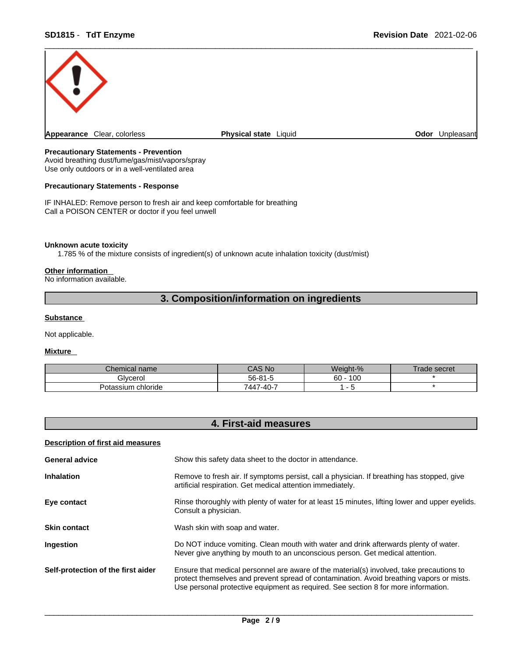

## **Precautionary Statements - Prevention**

Avoid breathing dust/fume/gas/mist/vapors/spray Use only outdoors or in a well-ventilated area

## **Precautionary Statements - Response**

IF INHALED: Remove person to fresh air and keep comfortable for breathing Call a POISON CENTER or doctor if you feel unwell

### **Unknown acute toxicity**

1.785 % of the mixture consists of ingredient(s) of unknown acute inhalation toxicity (dust/mist)

#### **Other information**

No information available.

## **3. Composition/information on ingredients**

## **Substance**

Not applicable.

## **Mixture**

| Chemical name        | $^{\circ}$ AS No $^{\circ}$ | Weight-%  | rade secret |
|----------------------|-----------------------------|-----------|-------------|
| Givcerol             | $56 - 81 - 5$               | 100<br>60 |             |
| chloride<br>ptassium | 7447-40-7                   |           |             |

## **4. First-aid measures**

## **Description of first aid measures**

| <b>General advice</b>              | Show this safety data sheet to the doctor in attendance.                                                                                                                                                                                                                   |  |
|------------------------------------|----------------------------------------------------------------------------------------------------------------------------------------------------------------------------------------------------------------------------------------------------------------------------|--|
| <b>Inhalation</b>                  | Remove to fresh air. If symptoms persist, call a physician. If breathing has stopped, give<br>artificial respiration. Get medical attention immediately.                                                                                                                   |  |
| Eye contact                        | Rinse thoroughly with plenty of water for at least 15 minutes, lifting lower and upper eyelids.<br>Consult a physician.                                                                                                                                                    |  |
| <b>Skin contact</b>                | Wash skin with soap and water.                                                                                                                                                                                                                                             |  |
| <b>Ingestion</b>                   | Do NOT induce vomiting. Clean mouth with water and drink afterwards plenty of water.<br>Never give anything by mouth to an unconscious person. Get medical attention.                                                                                                      |  |
| Self-protection of the first aider | Ensure that medical personnel are aware of the material(s) involved, take precautions to<br>protect themselves and prevent spread of contamination. Avoid breathing vapors or mists.<br>Use personal protective equipment as required. See section 8 for more information. |  |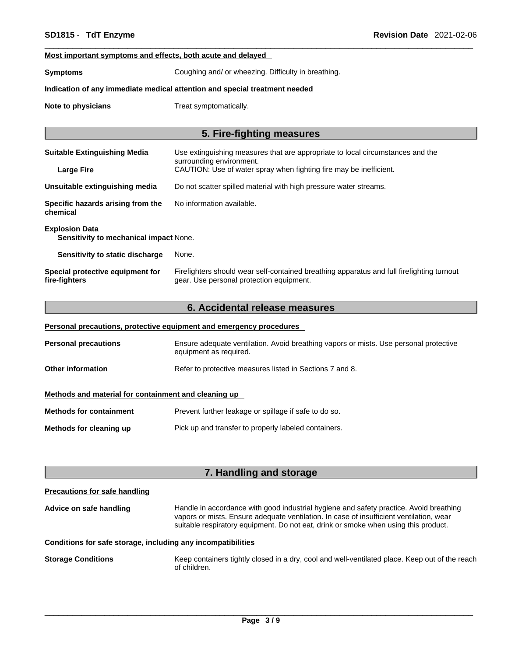## **Most important symptoms and effects, both acute and delayed**

**Symptoms** Coughing and/ or wheezing. Difficulty in breathing.

## **Indication of any immediate medical attention and special treatment needed**

**Note to physicians** Treat symptomatically.

## **5. Fire-fighting measures**

| <b>Suitable Extinguishing Media</b>                             | Use extinguishing measures that are appropriate to local circumstances and the                                                        |
|-----------------------------------------------------------------|---------------------------------------------------------------------------------------------------------------------------------------|
| <b>Large Fire</b>                                               | surrounding environment.<br>CAUTION: Use of water spray when fighting fire may be inefficient.                                        |
| Unsuitable extinguishing media                                  | Do not scatter spilled material with high pressure water streams.                                                                     |
| Specific hazards arising from the<br>chemical                   | No information available.                                                                                                             |
| <b>Explosion Data</b><br>Sensitivity to mechanical impact None. |                                                                                                                                       |
| Sensitivity to static discharge                                 | None.                                                                                                                                 |
| Special protective equipment for<br>fire-fighters               | Firefighters should wear self-contained breathing apparatus and full firefighting turnout<br>gear. Use personal protection equipment. |

## **6. Accidental release measures**

|                                                      | Personal precautions, protective equipment and emergency procedures                                             |
|------------------------------------------------------|-----------------------------------------------------------------------------------------------------------------|
| <b>Personal precautions</b>                          | Ensure adequate ventilation. Avoid breathing vapors or mists. Use personal protective<br>equipment as required. |
| <b>Other information</b>                             | Refer to protective measures listed in Sections 7 and 8.                                                        |
| Methods and material for containment and cleaning up |                                                                                                                 |
| <b>Methods for containment</b>                       | Prevent further leakage or spillage if safe to do so.                                                           |
| Methods for cleaning up                              | Pick up and transfer to properly labeled containers.                                                            |

## **7. Handling and storage**

## **Precautions for safe handling**

**Advice on safe handling** Handle in accordance with good industrial hygiene and safety practice. Avoid breathing vapors or mists. Ensure adequate ventilation. In case of insufficient ventilation, wear suitable respiratory equipment. Do not eat, drink or smoke when using this product.

## **Conditions for safe storage, including any incompatibilities**

**Storage Conditions** Keep containers tightly closed in a dry, cool and well-ventilated place. Keep out of the reach of children.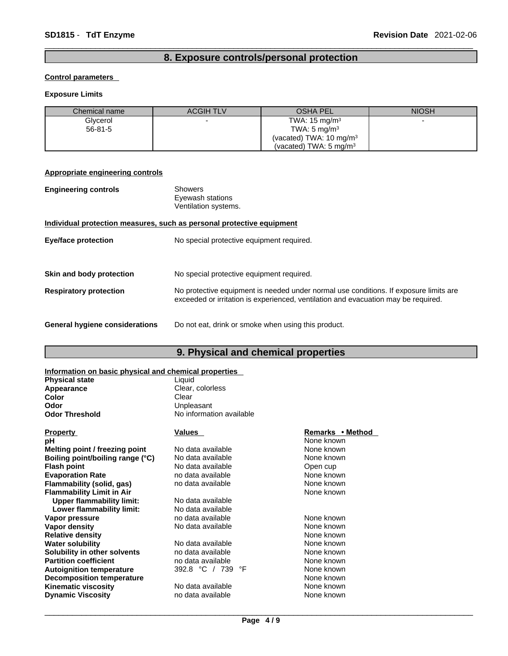## **8. Exposure controls/personal protection**

## **Control parameters**

## **Exposure Limits**

| Chemical name | <b>ACGIH TLV</b> | <b>OSHA PEL</b>                    | <b>NIOSH</b> |
|---------------|------------------|------------------------------------|--------------|
| Glycerol      |                  | TWA: $15 \text{ mg/m}^3$           |              |
| $56 - 81 - 5$ |                  | TWA: $5 \text{ mg/m}^3$            |              |
|               |                  | (vacated) TWA: $10 \text{ mg/m}^3$ |              |
|               |                  | (vacated) TWA: $5 \text{ mg/m}^3$  |              |

## **Appropriate engineering controls**

| <b>Engineering controls</b>           | <b>Showers</b><br>Eyewash stations<br>Ventilation systems.                                                                                                                  |
|---------------------------------------|-----------------------------------------------------------------------------------------------------------------------------------------------------------------------------|
|                                       | Individual protection measures, such as personal protective equipment                                                                                                       |
| <b>Eye/face protection</b>            | No special protective equipment required.                                                                                                                                   |
|                                       |                                                                                                                                                                             |
| Skin and body protection              | No special protective equipment required.                                                                                                                                   |
| <b>Respiratory protection</b>         | No protective equipment is needed under normal use conditions. If exposure limits are<br>exceeded or irritation is experienced, ventilation and evacuation may be required. |
| <b>General hygiene considerations</b> | Do not eat, drink or smoke when using this product.                                                                                                                         |

## **9. Physical and chemical properties**

| Information on basic physical and chemical properties |                          |                  |  |
|-------------------------------------------------------|--------------------------|------------------|--|
| <b>Physical state</b>                                 | Liquid                   |                  |  |
| Appearance                                            | Clear, colorless         |                  |  |
| Color                                                 | Clear                    |                  |  |
| Odor                                                  | Unpleasant               |                  |  |
| Odor Threshold                                        | No information available |                  |  |
| <b>Property</b>                                       | <b>Values</b>            | Remarks • Method |  |
| pН                                                    |                          | None known       |  |
| Melting point / freezing point                        | No data available        | None known       |  |
| Boiling point/boiling range (°C)                      | No data available        | None known       |  |
| <b>Flash point</b>                                    | No data available        | Open cup         |  |
| <b>Evaporation Rate</b>                               | no data available        | None known       |  |
| Flammability (solid, gas)                             | no data available        | None known       |  |
| <b>Flammability Limit in Air</b>                      |                          | None known       |  |
| <b>Upper flammability limit:</b>                      | No data available        |                  |  |
| Lower flammability limit:                             | No data available        |                  |  |
| Vapor pressure                                        | no data available        | None known       |  |
| Vapor density                                         | No data available        | None known       |  |
| <b>Relative density</b>                               |                          | None known       |  |
| Water solubility                                      | No data available        | None known       |  |
| Solubility in other solvents                          | no data available        | None known       |  |
| <b>Partition coefficient</b>                          | no data available        | None known       |  |
| <b>Autoignition temperature</b>                       | 392.8 °C / 739<br>°F     | None known       |  |
| <b>Decomposition temperature</b>                      |                          | None known       |  |
| Kinematic viscosity                                   | No data available        | None known       |  |
| <b>Dynamic Viscosity</b>                              | no data available        | None known       |  |
|                                                       |                          |                  |  |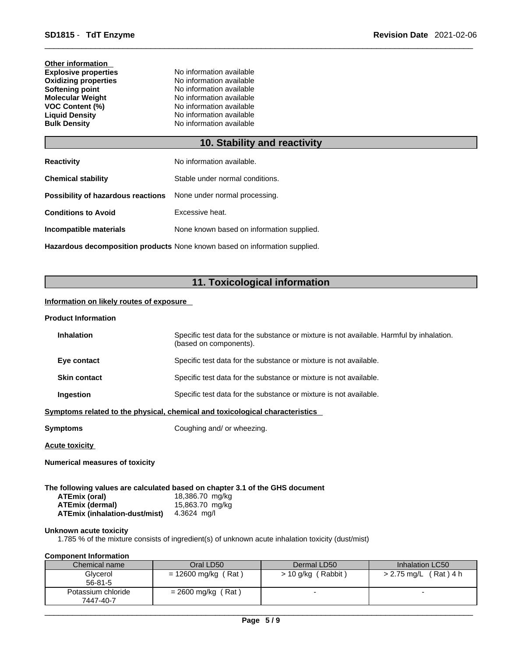| <b>Other information</b>    |
|-----------------------------|
| <b>Explosive properties</b> |
| <b>Oxidizing properties</b> |
| Softening point             |
| <b>Molecular Weight</b>     |
| <b>VOC Content (%)</b>      |
| <b>Liguid Density</b>       |
| <b>Bulk Density</b>         |
|                             |

## **10. Stability and reactivity**

| No information available.                                               |  |
|-------------------------------------------------------------------------|--|
| Stable under normal conditions.                                         |  |
| <b>Possibility of hazardous reactions</b> None under normal processing. |  |
| Excessive heat.                                                         |  |
| None known based on information supplied.                               |  |
|                                                                         |  |

**Explosive properties** No information available **No information available No information available No information available No information available No information available No information available** 

**Hazardous decomposition products** None known based on information supplied.

## **11. Toxicological information**

## **Information on likely routes of exposure**

#### **Product Information**

| <b>Inhalation</b>   | Specific test data for the substance or mixture is not available. Harmful by inhalation.<br>(based on components). |
|---------------------|--------------------------------------------------------------------------------------------------------------------|
| Eye contact         | Specific test data for the substance or mixture is not available.                                                  |
| <b>Skin contact</b> | Specific test data for the substance or mixture is not available.                                                  |
| Ingestion           | Specific test data for the substance or mixture is not available.                                                  |

**<u>Symptoms related to the physical, chemical and toxicological characteristics</u>** 

**Symptoms** Coughing and/ or wheezing.

**Acute toxicity**

**Numerical measures of toxicity**

**The following values are calculated based on chapter 3.1 of the GHS document ATEmix (oral)** 18,386.70 mg/kg

| <b>ATEmix (dermal)</b>               | 15,863.70 mg/kg |
|--------------------------------------|-----------------|
| <b>ATEmix (inhalation-dust/mist)</b> | 4.3624 mg/l     |

## **Unknown acute toxicity**

1.785 % of the mixture consists of ingredient(s) of unknown acute inhalation toxicity (dust/mist)

## **Component Information**

| Chemical name      | Oral LD50             | Dermal LD50          | Inhalation LC50          |
|--------------------|-----------------------|----------------------|--------------------------|
| Glycerol           | $= 12600$ mg/kg (Rat) | $> 10$ g/kg (Rabbit) | (Rat) 4 h<br>> 2.75 mg/L |
| 56-81-5            |                       |                      |                          |
| Potassium chloride | (Rat)<br>= 2600 mg/kg |                      |                          |
| 7447-40-7          |                       |                      |                          |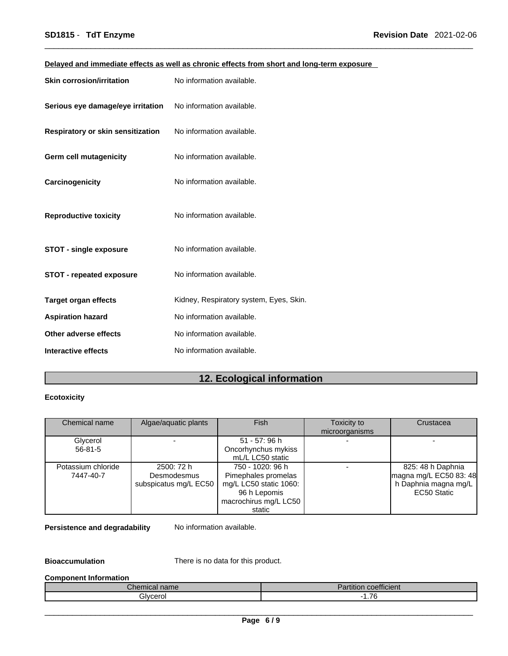| Delayed and immediate effects as well as chronic effects from short and long-term exposure |  |
|--------------------------------------------------------------------------------------------|--|
|--------------------------------------------------------------------------------------------|--|

| <b>Skin corrosion/irritation</b>  | No information available.               |
|-----------------------------------|-----------------------------------------|
| Serious eye damage/eye irritation | No information available.               |
| Respiratory or skin sensitization | No information available.               |
| Germ cell mutagenicity            | No information available.               |
| Carcinogenicity                   | No information available.               |
| <b>Reproductive toxicity</b>      | No information available.               |
| <b>STOT - single exposure</b>     | No information available.               |
| <b>STOT - repeated exposure</b>   | No information available.               |
| <b>Target organ effects</b>       | Kidney, Respiratory system, Eyes, Skin. |
| <b>Aspiration hazard</b>          | No information available.               |
| Other adverse effects             | No information available.               |
| <b>Interactive effects</b>        | No information available.               |

## **12. Ecological information**

## **Ecotoxicity**

| Chemical name                   | Algae/aquatic plants                               | <b>Fish</b>                                                                                                          | Toxicity to<br>microorganisms | Crustacea                                                                          |
|---------------------------------|----------------------------------------------------|----------------------------------------------------------------------------------------------------------------------|-------------------------------|------------------------------------------------------------------------------------|
| Glycerol<br>$56 - 81 - 5$       |                                                    | 51 - 57: 96 h<br>Oncorhynchus mykiss<br>mL/L LC50 static                                                             |                               |                                                                                    |
| Potassium chloride<br>7447-40-7 | 2500: 72 h<br>Desmodesmus<br>subspicatus mg/L EC50 | 750 - 1020: 96 h<br>Pimephales promelas<br>mg/L LC50 static 1060:<br>96 h Lepomis<br>macrochirus mg/L LC50<br>static |                               | 825: 48 h Daphnia<br>magna mg/L EC50 83: 48<br>h Daphnia magna mg/L<br>EC50 Static |

**Persistence and degradability** No information available.

**Bioaccumulation** There is no data for this product.

## **Component Information**

| $\sim$<br><i>C</i> hemical name∵ | $\overline{\phantom{a}}$<br>$-1$<br>coefficient<br>$\overline{\phantom{a}}$<br>'artıtıon |
|----------------------------------|------------------------------------------------------------------------------------------|
| ilvcerol                         | $\overline{\phantom{a}}$<br>.                                                            |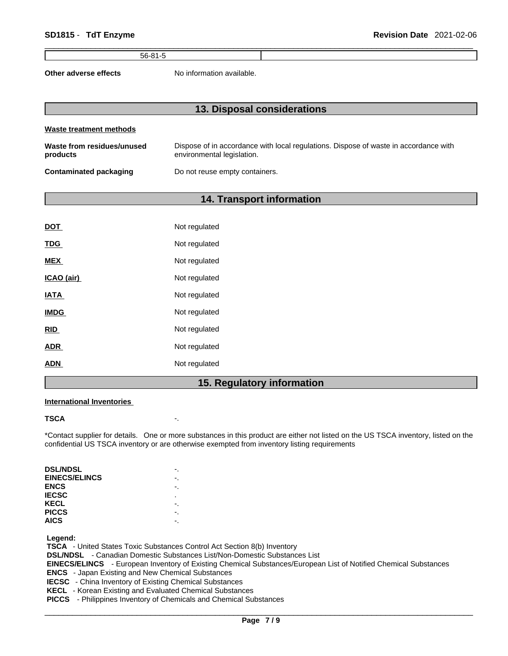56-81-5

**Other adverse effects** No information available.

## **13. Disposal considerations Waste treatment methods Waste from residues/unused products**  Dispose of in accordance with local regulations. Dispose of waste in accordance with environmental legislation. **Contaminated packaging** Do not reuse empty containers.

## **14. Transport information**

| <b>DOT</b>  | Not regulated |
|-------------|---------------|
| <b>TDG</b>  | Not regulated |
| <b>MEX</b>  | Not regulated |
| ICAO (air)  | Not regulated |
| <b>IATA</b> | Not regulated |
| <b>IMDG</b> | Not regulated |
| <b>RID</b>  | Not regulated |
| <b>ADR</b>  | Not regulated |
| <b>ADN</b>  | Not regulated |

## **15. Regulatory information**

## **International Inventories**

## **TSCA** -.

\*Contact supplier for details. One or more substances in this product are either not listed on the US TSCA inventory, listed on the confidential US TSCA inventory or are otherwise exempted from inventory listing requirements

| <b>DSL/NDSL</b>      |   |
|----------------------|---|
| <b>EINECS/ELINCS</b> |   |
| <b>ENCS</b>          |   |
| <b>IECSC</b>         | ٠ |
| KECL                 |   |
| <b>PICCS</b>         |   |
| <b>AICS</b>          |   |
|                      |   |

 **Legend:** 

 **TSCA** - United States Toxic Substances Control Act Section 8(b) Inventory

 **DSL/NDSL** - Canadian Domestic Substances List/Non-Domestic Substances List

 **EINECS/ELINCS** - European Inventory of Existing Chemical Substances/European List of Notified Chemical Substances  **ENCS** - Japan Existing and New Chemical Substances

 **IECSC** - China Inventory of Existing Chemical Substances

 **KECL** - Korean Existing and Evaluated Chemical Substances  **PICCS** - Philippines Inventory of Chemicals and Chemical Substances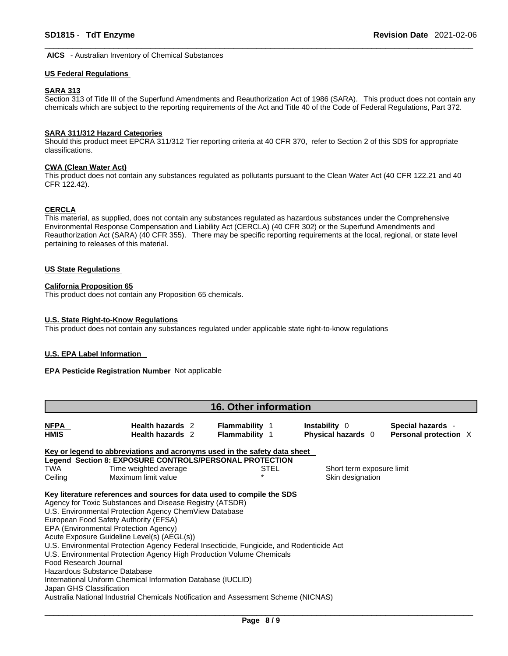**AICS** - Australian Inventory of Chemical Substances

#### **US Federal Regulations**

## **SARA 313**

Section 313 of Title III of the Superfund Amendments and Reauthorization Act of 1986 (SARA). This product does not contain any chemicals which are subject to the reporting requirements of the Act and Title 40 of the Code of Federal Regulations, Part 372.

#### **SARA 311/312 Hazard Categories**

Should this product meet EPCRA 311/312 Tier reporting criteria at 40 CFR 370, refer to Section 2 of this SDS for appropriate classifications.

## **CWA (Clean WaterAct)**

This product does not contain any substances regulated as pollutants pursuant to the Clean Water Act (40 CFR 122.21 and 40 CFR 122.42).

## **CERCLA**

This material, as supplied, does not contain any substances regulated as hazardous substances under the Comprehensive Environmental Response Compensation and Liability Act (CERCLA) (40 CFR 302) or the Superfund Amendments and Reauthorization Act (SARA) (40 CFR 355). There may be specific reporting requirements at the local, regional, or state level pertaining to releases of this material.

## **US State Regulations**

#### **California Proposition 65**

This product does not contain any Proposition 65 chemicals.

#### **U.S. State Right-to-Know Regulations**

This product does not contain any substances regulated under applicable state right-to-know regulations

#### **U.S. EPA Label Information**

**EPA Pesticide Registration Number** Not applicable

| <b>16. Other information</b>                                                                                                                                                                                                                                                                                                                                                                                                                                                                                                                                                                                                                                                                                                                   |                                             |                                         |                                     |                                            |  |
|------------------------------------------------------------------------------------------------------------------------------------------------------------------------------------------------------------------------------------------------------------------------------------------------------------------------------------------------------------------------------------------------------------------------------------------------------------------------------------------------------------------------------------------------------------------------------------------------------------------------------------------------------------------------------------------------------------------------------------------------|---------------------------------------------|-----------------------------------------|-------------------------------------|--------------------------------------------|--|
| NFPA<br>HMIS                                                                                                                                                                                                                                                                                                                                                                                                                                                                                                                                                                                                                                                                                                                                   | Health hazards 2<br><b>Health hazards</b> 2 | <b>Flammability 1</b><br>Flammability 1 | Instability 0<br>Physical hazards 0 | Special hazards -<br>Personal protection X |  |
| Key or legend to abbreviations and acronyms used in the safety data sheet                                                                                                                                                                                                                                                                                                                                                                                                                                                                                                                                                                                                                                                                      |                                             |                                         |                                     |                                            |  |
| Legend Section 8: EXPOSURE CONTROLS/PERSONAL PROTECTION                                                                                                                                                                                                                                                                                                                                                                                                                                                                                                                                                                                                                                                                                        |                                             |                                         |                                     |                                            |  |
| TWA<br>Time weighted average                                                                                                                                                                                                                                                                                                                                                                                                                                                                                                                                                                                                                                                                                                                   |                                             | STEL                                    | Short term exposure limit           |                                            |  |
| Ceiling<br>Maximum limit value                                                                                                                                                                                                                                                                                                                                                                                                                                                                                                                                                                                                                                                                                                                 |                                             |                                         | Skin designation                    |                                            |  |
| Key literature references and sources for data used to compile the SDS<br>Agency for Toxic Substances and Disease Registry (ATSDR)<br>U.S. Environmental Protection Agency ChemView Database<br>European Food Safety Authority (EFSA)<br>EPA (Environmental Protection Agency)<br>Acute Exposure Guideline Level(s) (AEGL(s))<br>U.S. Environmental Protection Agency Federal Insecticide, Fungicide, and Rodenticide Act<br>U.S. Environmental Protection Agency High Production Volume Chemicals<br>Food Research Journal<br>Hazardous Substance Database<br>International Uniform Chemical Information Database (IUCLID)<br>Japan GHS Classification<br>Australia National Industrial Chemicals Notification and Assessment Scheme (NICNAS) |                                             |                                         |                                     |                                            |  |